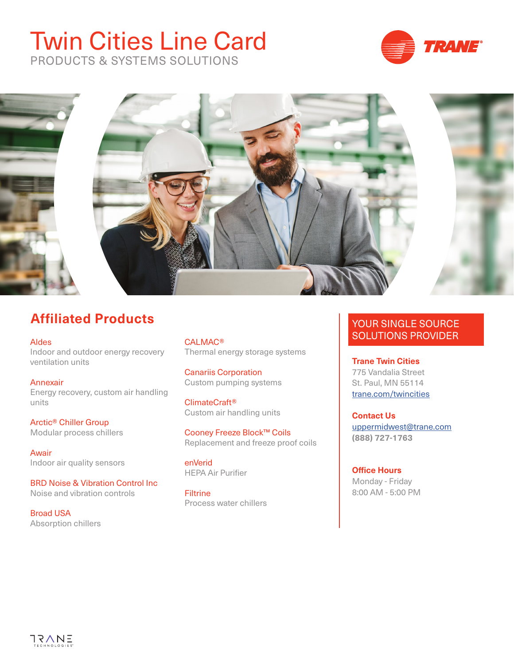# Twin Cities Line Card



PRODUCTS & SYSTEMS SOLUTIONS



## **Affiliated Products**

[Aldes](https://www.aldes-na.com/
) Indoor and outdoor energy recovery ventilation units

[Annexair](https://www.annexair.com/
) Energy recovery, custom air handling units

[Arctic® Chiller Group](http://www.arcticchillergroup.com
) Modular process chillers

[Awair](https://www.getawair.com/
) Indoor air quality sensors

[BRD Noise & Vibration Control Inc](https://hushcore.net/
)  Noise and vibration controls

[Broad USA](https://broadusa.com/
) Absorption chillers [CALMAC®](http://www.calmac.com
) Thermal energy storage systems

[Canariis Corporation](http://www.canariis.com
) Custom pumping systems

[ClimateCraft®](https://www.climatecraft.com/
) Custom air handling units

[Cooney Freeze Block™ Coils](https://cooneycoil.com/
) Replacement and freeze proof coils

enVerid HEPA Air Purifier

**[Filtrine](http://www.filtrine.com
)** Process water chillers

### YOUR SINGLE SOURCE SOLUTIONS PROVIDER

**Trane Twin Cities** 775 Vandalia Street St. Paul, MN 55114 t[rane.com/twincities](http://www.Trane.com/Twincities)

**Contact Us**  [uppermidwest@trane.com](mailto:uppermidwest%40trane.com?subject=) **(888) 727-1763**

**Office Hours** Monday - Friday 8:00 AM - 5:00 PM